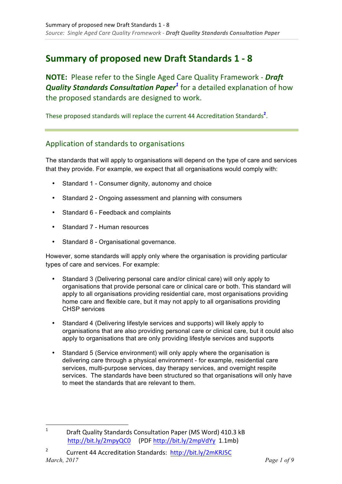# **Summary of proposed new Draft Standards 1 - 8**

**NOTE:** Please refer to the Single Aged Care Quality Framework - Draft *Quality Standards Consultation Paper<sup>1</sup> for a detailed explanation of how* the proposed standards are designed to work.

These proposed standards will replace the current 44 Accreditation Standards<sup>2</sup>.

### Application of standards to organisations

The standards that will apply to organisations will depend on the type of care and services that they provide. For example, we expect that all organisations would comply with:

- Standard 1 Consumer dignity, autonomy and choice
- Standard 2 Ongoing assessment and planning with consumers
- Standard 6 Feedback and complaints
- Standard 7 Human resources

<u> 1989 - Jan Samuel Barbara, margaret e</u>

• Standard 8 - Organisational governance.

However, some standards will apply only where the organisation is providing particular types of care and services. For example:

- Standard 3 (Delivering personal care and/or clinical care) will only apply to organisations that provide personal care or clinical care or both. This standard will apply to all organisations providing residential care, most organisations providing home care and flexible care, but it may not apply to all organisations providing CHSP services
- Standard 4 (Delivering lifestyle services and supports) will likely apply to organisations that are also providing personal care or clinical care, but it could also apply to organisations that are only providing lifestyle services and supports
- Standard 5 (Service environment) will only apply where the organisation is delivering care through a physical environment - for example, residential care services, multi-purpose services, day therapy services, and overnight respite services. The standards have been structured so that organisations will only have to meet the standards that are relevant to them.

<sup>1</sup> Draft Quality Standards Consultation Paper (MS Word) 410.3 kB http://bit.ly/2mpyQC0 (PDF http://bit.ly/2mpVdYy 1.1mb)

*March, 2017 Page 1 of 9* 2 Current 44 Accreditation Standards: http://bit.ly/2mKRJ5C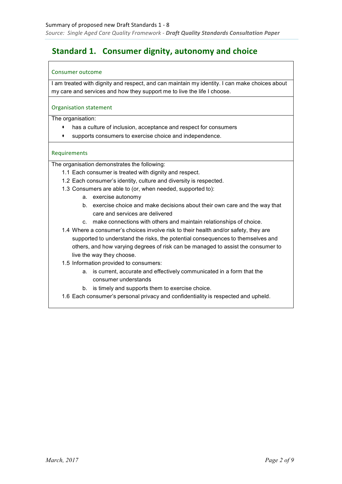## **Standard 1. Consumer dignity, autonomy and choice**

### Consumer outcome

I am treated with dignity and respect, and can maintain my identity. I can make choices about my care and services and how they support me to live the life I choose.

### Organisation statement

The organisation:

- · has a culture of inclusion, acceptance and respect for consumers
- supports consumers to exercise choice and independence.

### Requirements

- 1.1 Each consumer is treated with dignity and respect.
- 1.2 Each consumer's identity, culture and diversity is respected.
- 1.3 Consumers are able to (or, when needed, supported to):
	- a. exercise autonomy
	- b. exercise choice and make decisions about their own care and the way that care and services are delivered
	- c. make connections with others and maintain relationships of choice.
- 1.4 Where a consumer's choices involve risk to their health and/or safety, they are supported to understand the risks, the potential consequences to themselves and others, and how varying degrees of risk can be managed to assist the consumer to live the way they choose.
- 1.5 Information provided to consumers:
	- a. is current, accurate and effectively communicated in a form that the consumer understands
	- b. is timely and supports them to exercise choice.
- 1.6 Each consumer's personal privacy and confidentiality is respected and upheld.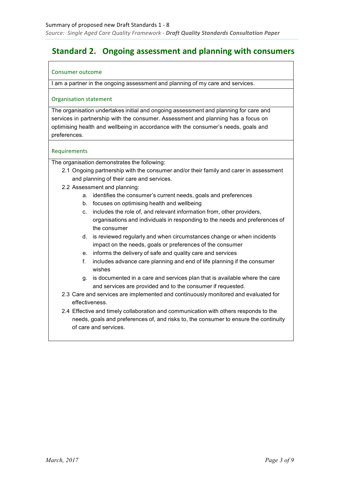### **Standard 2. Ongoing assessment and planning with consumers**

### Consumer outcome

I am a partner in the ongoing assessment and planning of my care and services.

### Organisation statement

The organisation undertakes initial and ongoing assessment and planning for care and services in partnership with the consumer. Assessment and planning has a focus on optimising health and wellbeing in accordance with the consumer's needs, goals and preferences.

### **Requirements**

- 2.1 Ongoing partnership with the consumer and/or their family and carer in assessment and planning of their care and services.
- 2.2 Assessment and planning:
	- a. identifies the consumer's current needs, goals and preferences
	- b. focuses on optimising health and wellbeing
	- c. includes the role of, and relevant information from, other providers, organisations and individuals in responding to the needs and preferences of the consumer
	- d. is reviewed regularly and when circumstances change or when incidents impact on the needs, goals or preferences of the consumer
	- e. informs the delivery of safe and quality care and services
	- f. includes advance care planning and end of life planning if the consumer wishes
	- g. is documented in a care and services plan that is available where the care and services are provided and to the consumer if requested.
- 2.3 Care and services are implemented and continuously monitored and evaluated for effectiveness.
- 2.4 Effective and timely collaboration and communication with others responds to the needs, goals and preferences of, and risks to, the consumer to ensure the continuity of care and services.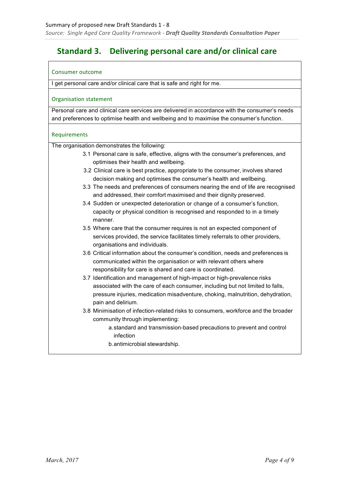### **Standard 3. Delivering personal care and/or clinical care**

### Consumer outcome

I get personal care and/or clinical care that is safe and right for me.

### Organisation statement

Personal care and clinical care services are delivered in accordance with the consumer's needs and preferences to optimise health and wellbeing and to maximise the consumer's function.

### Requirements

- 3.1 Personal care is safe, effective, aligns with the consumer's preferences, and optimises their health and wellbeing.
- 3.2 Clinical care is best practice, appropriate to the consumer, involves shared decision making and optimises the consumer's health and wellbeing.
- 3.3 The needs and preferences of consumers nearing the end of life are recognised and addressed, their comfort maximised and their dignity preserved.
- 3.4 Sudden or unexpected deterioration or change of a consumer's function, capacity or physical condition is recognised and responded to in a timely manner.
- 3.5 Where care that the consumer requires is not an expected component of services provided, the service facilitates timely referrals to other providers, organisations and individuals.
- 3.6 Critical information about the consumer's condition, needs and preferences is communicated within the organisation or with relevant others where responsibility for care is shared and care is coordinated.
- 3.7 Identification and management of high-impact or high-prevalence risks associated with the care of each consumer, including but not limited to falls, pressure injuries, medication misadventure, choking, malnutrition, dehydration, pain and delirium.
- 3.8 Minimisation of infection-related risks to consumers, workforce and the broader community through implementing:
	- a. standard and transmission-based precautions to prevent and control infection
	- b. antimicrobial stewardship.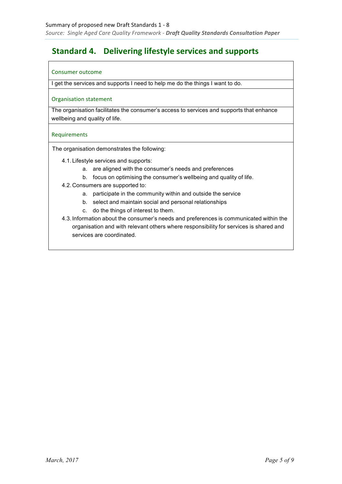### **Standard 4. Delivering lifestyle services and supports**

### Consumer outcome

I get the services and supports I need to help me do the things I want to do.

### Organisation statement

The organisation facilitates the consumer's access to services and supports that enhance wellbeing and quality of life.

### Requirements

- 4.1. Lifestyle services and supports:
	- a. are aligned with the consumer's needs and preferences
	- b. focus on optimising the consumer's wellbeing and quality of life.
- 4.2. Consumers are supported to:
	- a. participate in the community within and outside the service
	- b. select and maintain social and personal relationships
	- c. do the things of interest to them.
- 4.3. Information about the consumer's needs and preferences is communicated within the organisation and with relevant others where responsibility for services is shared and services are coordinated.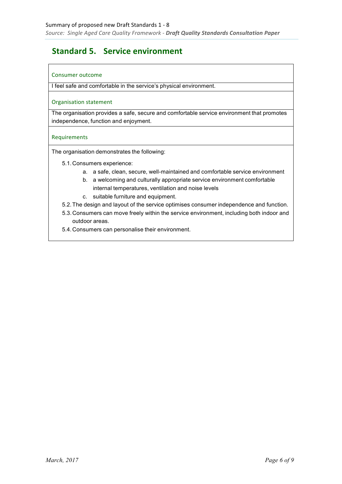### **Standard 5. Service environment**

### Consumer outcome

I feel safe and comfortable in the service's physical environment.

### Organisation statement

The organisation provides a safe, secure and comfortable service environment that promotes independence, function and enjoyment.

### Requirements

- 5.1.Consumers experience:
	- a. a safe, clean, secure, well-maintained and comfortable service environment
	- b. a welcoming and culturally appropriate service environment comfortable internal temperatures, ventilation and noise levels
	- c. suitable furniture and equipment.
- 5.2. The design and layout of the service optimises consumer independence and function.
- 5.3.Consumers can move freely within the service environment, including both indoor and outdoor areas.
- 5.4.Consumers can personalise their environment.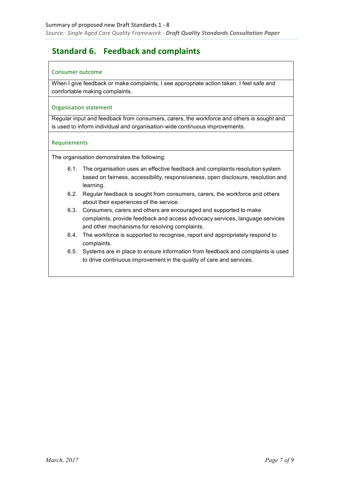# **Standard 6. Feedback and complaints**

### Consumer outcome

When I give feedback or make complaints, I see appropriate action taken. I feel safe and comfortable making complaints.

### Organisation statement

Regular input and feedback from consumers, carers, the workforce and others is sought and is used to inform individual and organisation-wide continuous improvements.

### Requirements

- 6.1. The organisation uses an effective feedback and complaints resolution system based on fairness, accessibility, responsiveness, open disclosure, resolution and learning.
- 6.2. Regular feedback is sought from consumers, carers, the workforce and others about their experiences of the service.
- 6.3. Consumers, carers and others are encouraged and supported to make complaints, provide feedback and access advocacy services, language services and other mechanisms for resolving complaints.
- 6.4. The workforce is supported to recognise, report and appropriately respond to complaints.
- 6.5. Systems are in place to ensure information from feedback and complaints is used to drive continuous improvement in the quality of care and services.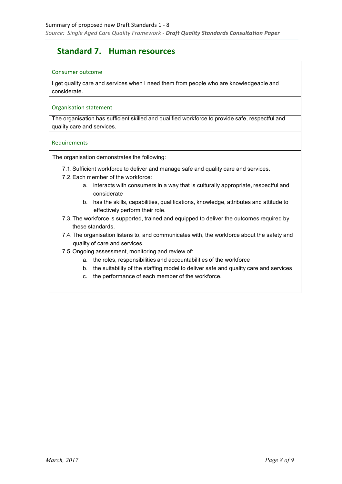### **Standard 7. Human resources**

### Consumer outcome

I get quality care and services when I need them from people who are knowledgeable and considerate.

### Organisation statement

The organisation has sufficient skilled and qualified workforce to provide safe, respectful and quality care and services.

### Requirements

- 7.1. Sufficient workforce to deliver and manage safe and quality care and services.
- 7.2. Each member of the workforce:
	- a. interacts with consumers in a way that is culturally appropriate, respectful and considerate
	- b. has the skills, capabilities, qualifications, knowledge, attributes and attitude to effectively perform their role.
- 7.3. The workforce is supported, trained and equipped to deliver the outcomes required by these standards.
- 7.4. The organisation listens to, and communicates with, the workforce about the safety and quality of care and services.
- 7.5. Ongoing assessment, monitoring and review of:
	- a. the roles, responsibilities and accountabilities of the workforce
	- b. the suitability of the staffing model to deliver safe and quality care and services
	- c. the performance of each member of the workforce.